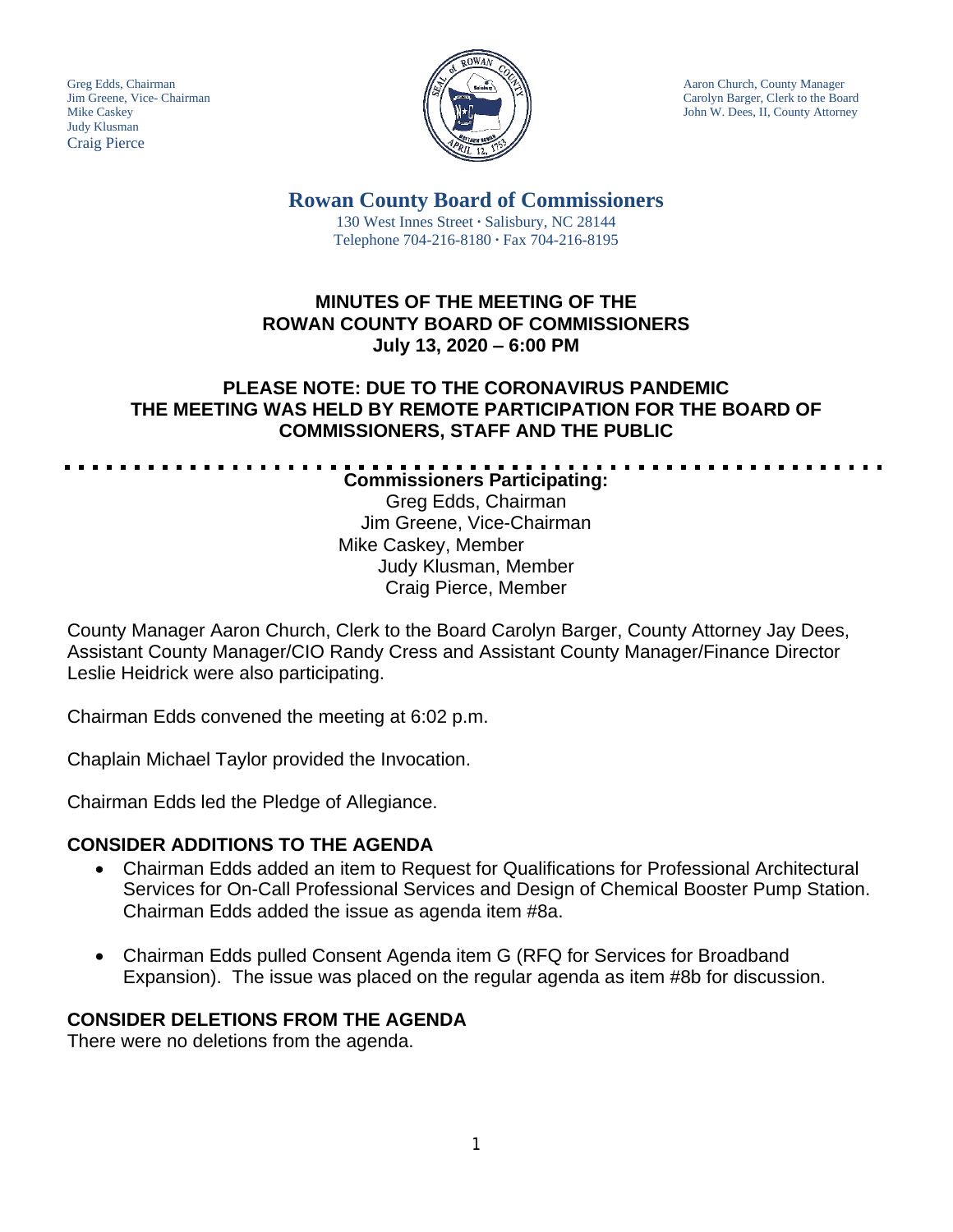Judy Klusman Craig Pierce



Greg Edds, Chairman Aaron Church, County Manager Jim Greene, Vice- Chairman Carolyn Barger, Clerk to the Board Mike Caskey  $\|\|\|\|\|\|_{\mathcal{F}}\|\|\|\|\|_{\mathcal{F}}\|\|\|\|_{\mathcal{F}}\|\|\|\|_{\mathcal{F}}\|\|\|\|_{\mathcal{F}}\|\|\|\|_{\mathcal{F}}\|\|\|\|_{\mathcal{F}}\|\|\|\|_{\mathcal{F}}\|\|\|\|_{\mathcal{F}}\|\|\|\|_{\mathcal{F}}\|\|\|\|_{\mathcal{F}}\|\|\|\|_{\mathcal{F}}\|\|\|\|_{\mathcal{F}}\|\|\|\|_{\mathcal{F}}\|\|\|\|_{\mathcal{F}}\|\|\|\|_{\mathcal{F}}\|\|\|\|\|_{\mathcal{F}}$ 

**Rowan County Board of Commissioners**

130 West Innes Street **∙** Salisbury, NC 28144 Telephone 704-216-8180 **∙** Fax 704-216-8195

#### **MINUTES OF THE MEETING OF THE ROWAN COUNTY BOARD OF COMMISSIONERS July 13, 2020 – 6:00 PM**

### **PLEASE NOTE: DUE TO THE CORONAVIRUS PANDEMIC THE MEETING WAS HELD BY REMOTE PARTICIPATION FOR THE BOARD OF COMMISSIONERS, STAFF AND THE PUBLIC**

**Commissioners Participating:**

Greg Edds, Chairman Jim Greene, Vice-Chairman Mike Caskey, Member Judy Klusman, Member Craig Pierce, Member

County Manager Aaron Church, Clerk to the Board Carolyn Barger, County Attorney Jay Dees, Assistant County Manager/CIO Randy Cress and Assistant County Manager/Finance Director Leslie Heidrick were also participating.

Chairman Edds convened the meeting at 6:02 p.m.

Chaplain Michael Taylor provided the Invocation.

Chairman Edds led the Pledge of Allegiance.

## **CONSIDER ADDITIONS TO THE AGENDA**

- Chairman Edds added an item to Request for Qualifications for Professional Architectural Services for On-Call Professional Services and Design of Chemical Booster Pump Station. Chairman Edds added the issue as agenda item #8a.
- Chairman Edds pulled Consent Agenda item G (RFQ for Services for Broadband Expansion). The issue was placed on the regular agenda as item #8b for discussion.

# **CONSIDER DELETIONS FROM THE AGENDA**

There were no deletions from the agenda.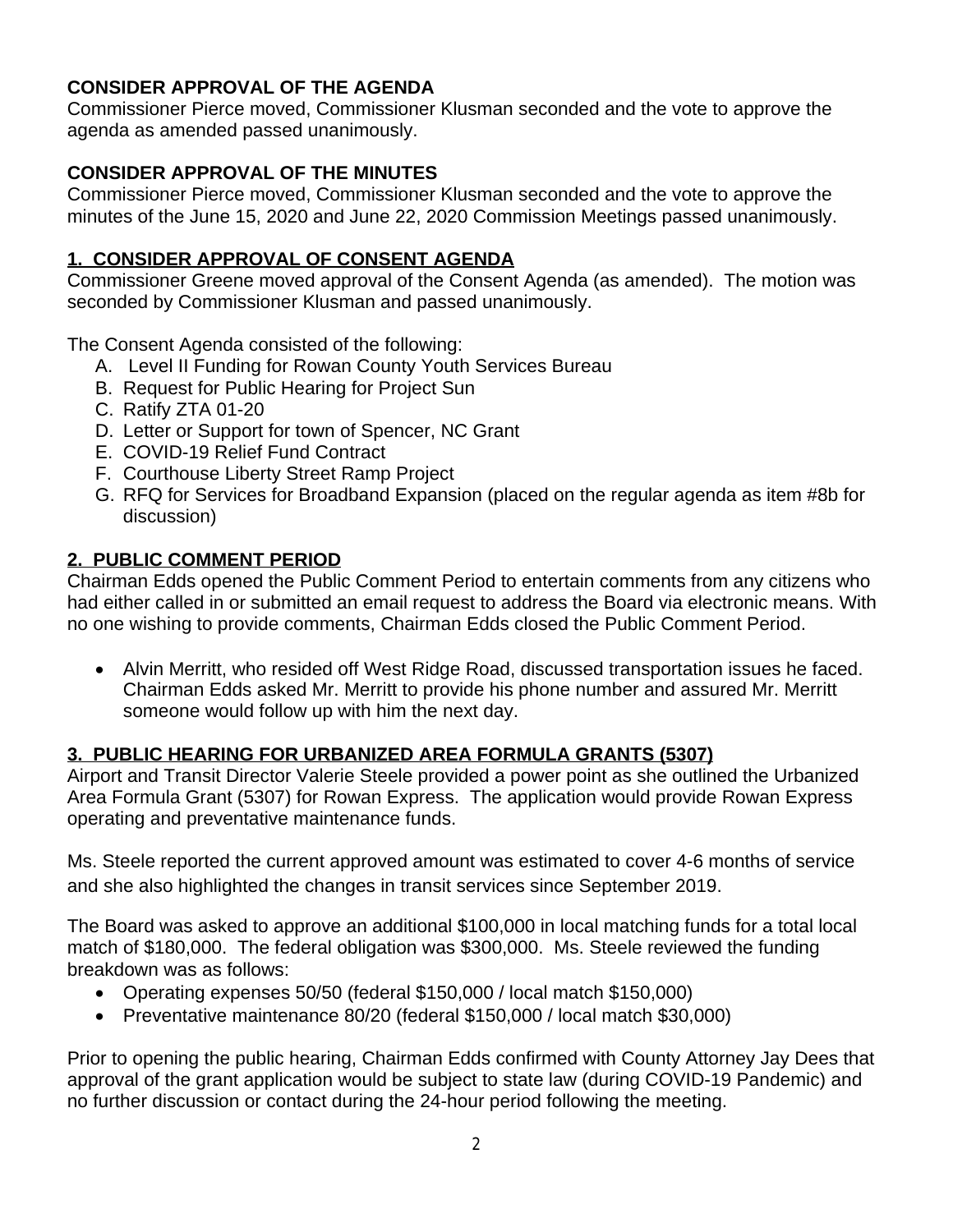# **CONSIDER APPROVAL OF THE AGENDA**

Commissioner Pierce moved, Commissioner Klusman seconded and the vote to approve the agenda as amended passed unanimously.

# **CONSIDER APPROVAL OF THE MINUTES**

Commissioner Pierce moved, Commissioner Klusman seconded and the vote to approve the minutes of the June 15, 2020 and June 22, 2020 Commission Meetings passed unanimously.

## **1. CONSIDER APPROVAL OF CONSENT AGENDA**

Commissioner Greene moved approval of the Consent Agenda (as amended). The motion was seconded by Commissioner Klusman and passed unanimously.

The Consent Agenda consisted of the following:

- A. Level II Funding for Rowan County Youth Services Bureau
- B. Request for Public Hearing for Project Sun
- C. Ratify ZTA 01-20
- D. Letter or Support for town of Spencer, NC Grant
- E. COVID-19 Relief Fund Contract
- F. Courthouse Liberty Street Ramp Project
- G. RFQ for Services for Broadband Expansion (placed on the regular agenda as item #8b for discussion)

## **2. PUBLIC COMMENT PERIOD**

Chairman Edds opened the Public Comment Period to entertain comments from any citizens who had either called in or submitted an email request to address the Board via electronic means. With no one wishing to provide comments, Chairman Edds closed the Public Comment Period.

 Alvin Merritt, who resided off West Ridge Road, discussed transportation issues he faced. Chairman Edds asked Mr. Merritt to provide his phone number and assured Mr. Merritt someone would follow up with him the next day.

# **3. PUBLIC HEARING FOR URBANIZED AREA FORMULA GRANTS (5307)**

Airport and Transit Director Valerie Steele provided a power point as she outlined the Urbanized Area Formula Grant (5307) for Rowan Express. The application would provide Rowan Express operating and preventative maintenance funds.

Ms. Steele reported the current approved amount was estimated to cover 4-6 months of service and she also highlighted the changes in transit services since September 2019.

The Board was asked to approve an additional \$100,000 in local matching funds for a total local match of \$180,000. The federal obligation was \$300,000. Ms. Steele reviewed the funding breakdown was as follows:

- Operating expenses 50/50 (federal \$150,000 / local match \$150,000)
- Preventative maintenance 80/20 (federal \$150,000 / local match \$30,000)

Prior to opening the public hearing, Chairman Edds confirmed with County Attorney Jay Dees that approval of the grant application would be subject to state law (during COVID-19 Pandemic) and no further discussion or contact during the 24-hour period following the meeting.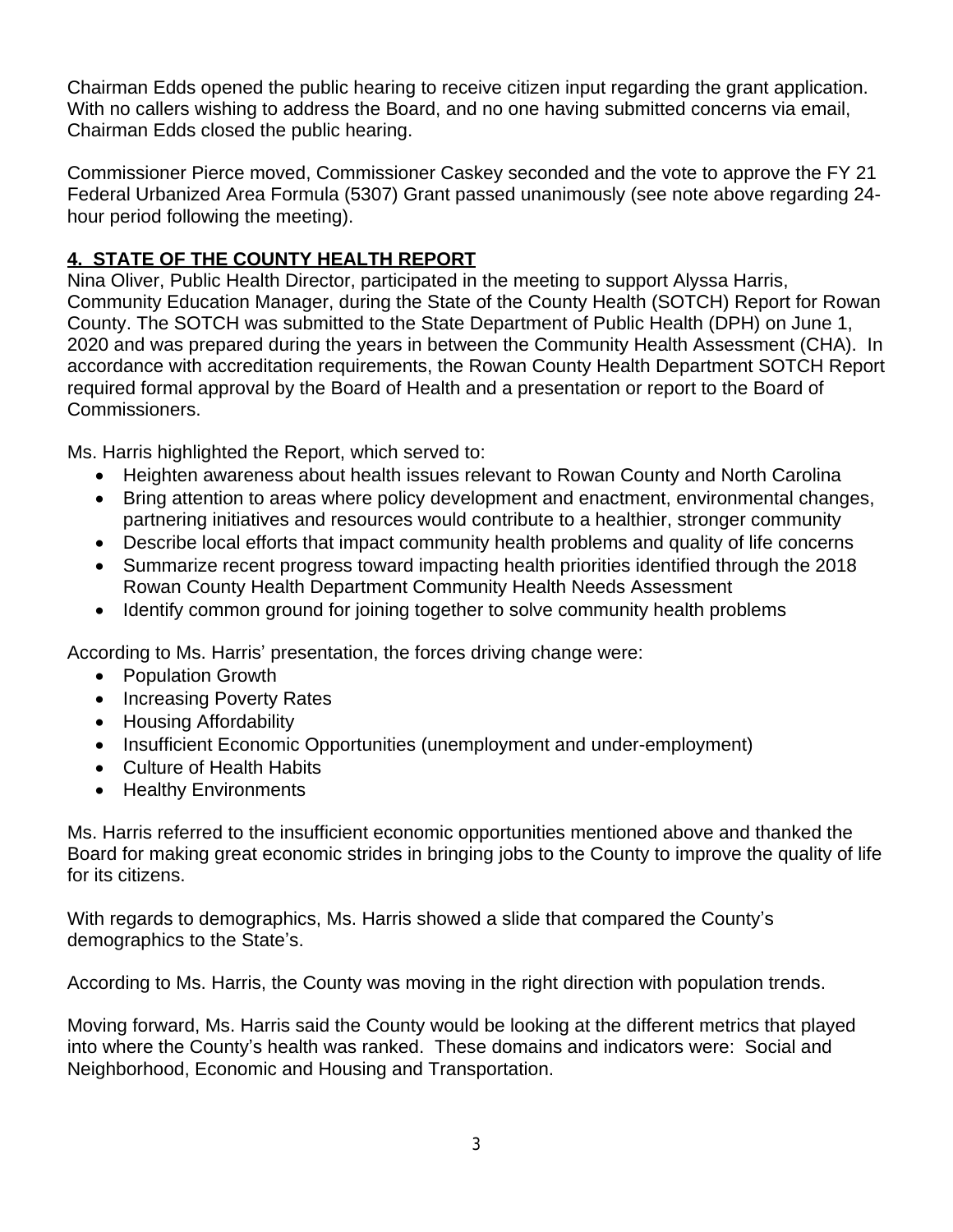Chairman Edds opened the public hearing to receive citizen input regarding the grant application. With no callers wishing to address the Board, and no one having submitted concerns via email, Chairman Edds closed the public hearing.

Commissioner Pierce moved, Commissioner Caskey seconded and the vote to approve the FY 21 Federal Urbanized Area Formula (5307) Grant passed unanimously (see note above regarding 24 hour period following the meeting).

# **4. STATE OF THE COUNTY HEALTH REPORT**

Nina Oliver, Public Health Director, participated in the meeting to support Alyssa Harris, Community Education Manager, during the State of the County Health (SOTCH) Report for Rowan County. The SOTCH was submitted to the State Department of Public Health (DPH) on June 1, 2020 and was prepared during the years in between the Community Health Assessment (CHA). In accordance with accreditation requirements, the Rowan County Health Department SOTCH Report required formal approval by the Board of Health and a presentation or report to the Board of Commissioners.

Ms. Harris highlighted the Report, which served to:

- Heighten awareness about health issues relevant to Rowan County and North Carolina
- Bring attention to areas where policy development and enactment, environmental changes, partnering initiatives and resources would contribute to a healthier, stronger community
- Describe local efforts that impact community health problems and quality of life concerns
- Summarize recent progress toward impacting health priorities identified through the 2018 Rowan County Health Department Community Health Needs Assessment
- Identify common ground for joining together to solve community health problems

According to Ms. Harris' presentation, the forces driving change were:

- Population Growth
- Increasing Poverty Rates
- Housing Affordability
- Insufficient Economic Opportunities (unemployment and under-employment)
- Culture of Health Habits
- Healthy Environments

Ms. Harris referred to the insufficient economic opportunities mentioned above and thanked the Board for making great economic strides in bringing jobs to the County to improve the quality of life for its citizens.

With regards to demographics, Ms. Harris showed a slide that compared the County's demographics to the State's.

According to Ms. Harris, the County was moving in the right direction with population trends.

Moving forward, Ms. Harris said the County would be looking at the different metrics that played into where the County's health was ranked. These domains and indicators were: Social and Neighborhood, Economic and Housing and Transportation.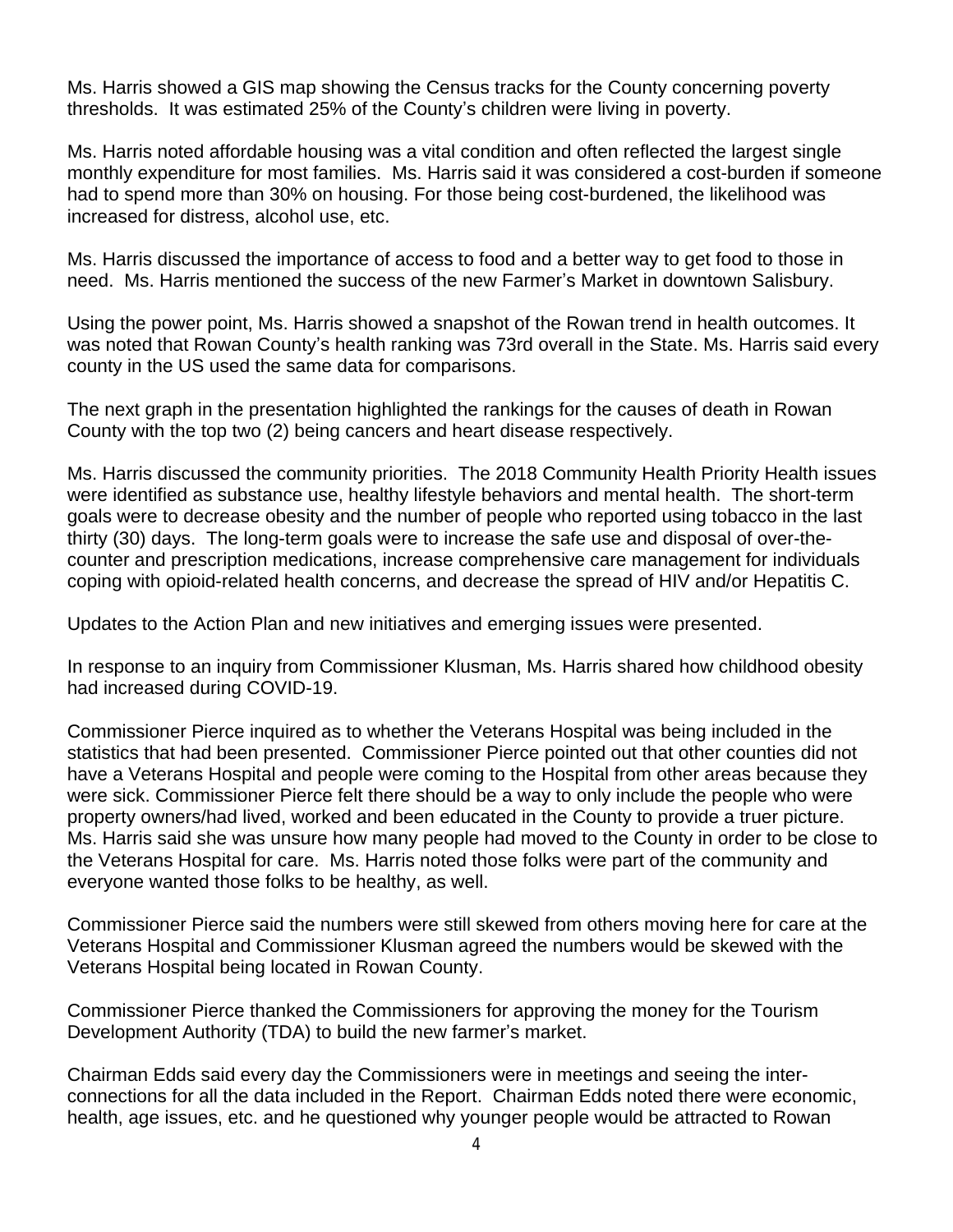Ms. Harris showed a GIS map showing the Census tracks for the County concerning poverty thresholds. It was estimated 25% of the County's children were living in poverty.

Ms. Harris noted affordable housing was a vital condition and often reflected the largest single monthly expenditure for most families. Ms. Harris said it was considered a cost-burden if someone had to spend more than 30% on housing. For those being cost-burdened, the likelihood was increased for distress, alcohol use, etc.

Ms. Harris discussed the importance of access to food and a better way to get food to those in need. Ms. Harris mentioned the success of the new Farmer's Market in downtown Salisbury.

Using the power point, Ms. Harris showed a snapshot of the Rowan trend in health outcomes. It was noted that Rowan County's health ranking was 73rd overall in the State. Ms. Harris said every county in the US used the same data for comparisons.

The next graph in the presentation highlighted the rankings for the causes of death in Rowan County with the top two (2) being cancers and heart disease respectively.

Ms. Harris discussed the community priorities. The 2018 Community Health Priority Health issues were identified as substance use, healthy lifestyle behaviors and mental health. The short-term goals were to decrease obesity and the number of people who reported using tobacco in the last thirty (30) days. The long-term goals were to increase the safe use and disposal of over-thecounter and prescription medications, increase comprehensive care management for individuals coping with opioid-related health concerns, and decrease the spread of HIV and/or Hepatitis C.

Updates to the Action Plan and new initiatives and emerging issues were presented.

In response to an inquiry from Commissioner Klusman, Ms. Harris shared how childhood obesity had increased during COVID-19.

Commissioner Pierce inquired as to whether the Veterans Hospital was being included in the statistics that had been presented. Commissioner Pierce pointed out that other counties did not have a Veterans Hospital and people were coming to the Hospital from other areas because they were sick. Commissioner Pierce felt there should be a way to only include the people who were property owners/had lived, worked and been educated in the County to provide a truer picture. Ms. Harris said she was unsure how many people had moved to the County in order to be close to the Veterans Hospital for care. Ms. Harris noted those folks were part of the community and everyone wanted those folks to be healthy, as well.

Commissioner Pierce said the numbers were still skewed from others moving here for care at the Veterans Hospital and Commissioner Klusman agreed the numbers would be skewed with the Veterans Hospital being located in Rowan County.

Commissioner Pierce thanked the Commissioners for approving the money for the Tourism Development Authority (TDA) to build the new farmer's market.

Chairman Edds said every day the Commissioners were in meetings and seeing the interconnections for all the data included in the Report. Chairman Edds noted there were economic, health, age issues, etc. and he questioned why younger people would be attracted to Rowan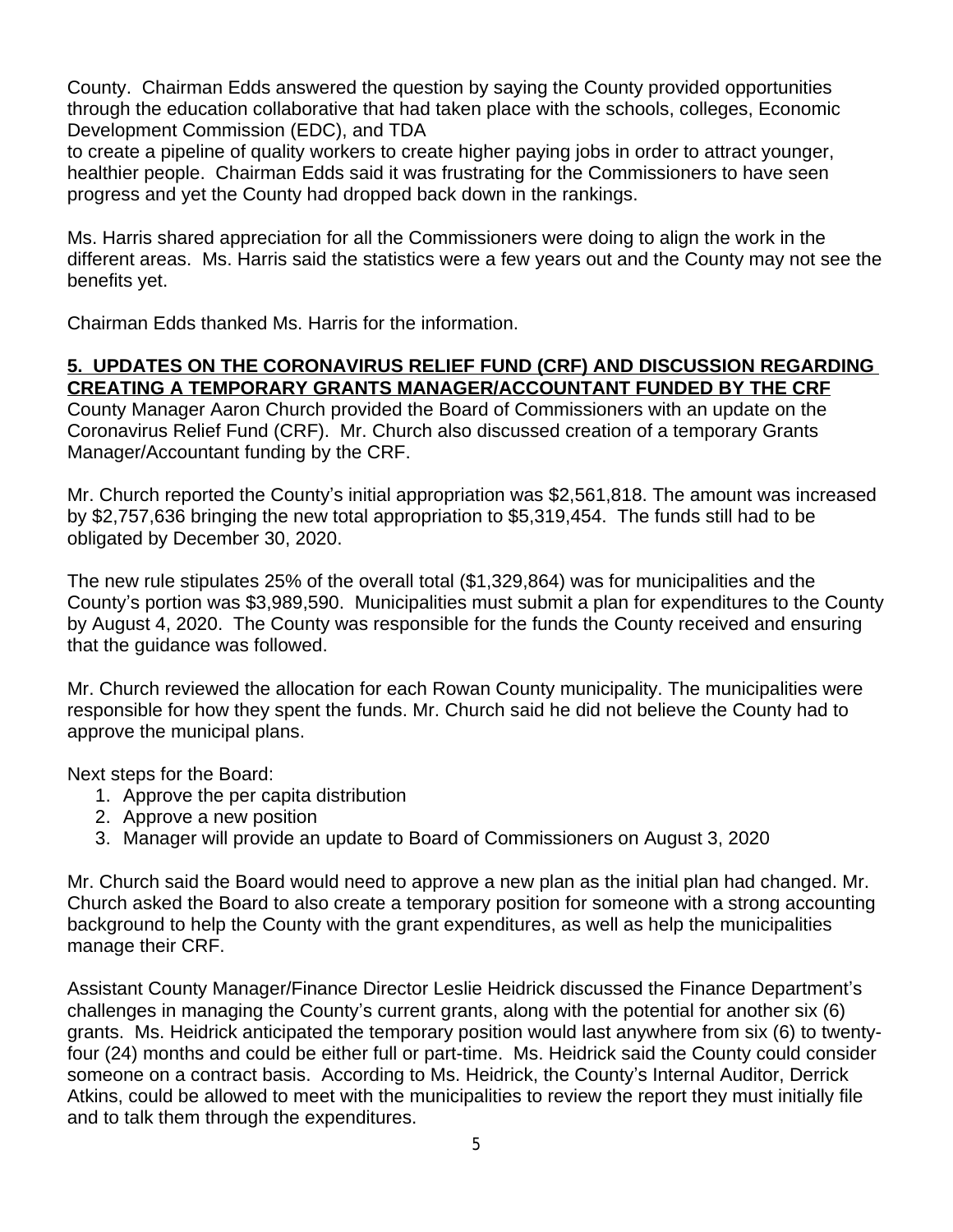County. Chairman Edds answered the question by saying the County provided opportunities through the education collaborative that had taken place with the schools, colleges, Economic Development Commission (EDC), and TDA

to create a pipeline of quality workers to create higher paying jobs in order to attract younger, healthier people. Chairman Edds said it was frustrating for the Commissioners to have seen progress and yet the County had dropped back down in the rankings.

Ms. Harris shared appreciation for all the Commissioners were doing to align the work in the different areas. Ms. Harris said the statistics were a few years out and the County may not see the benefits yet.

Chairman Edds thanked Ms. Harris for the information.

### **5. UPDATES ON THE CORONAVIRUS RELIEF FUND (CRF) AND DISCUSSION REGARDING CREATING A TEMPORARY GRANTS MANAGER/ACCOUNTANT FUNDED BY THE CRF**

County Manager Aaron Church provided the Board of Commissioners with an update on the Coronavirus Relief Fund (CRF). Mr. Church also discussed creation of a temporary Grants Manager/Accountant funding by the CRF.

Mr. Church reported the County's initial appropriation was \$2,561,818. The amount was increased by \$2,757,636 bringing the new total appropriation to \$5,319,454. The funds still had to be obligated by December 30, 2020.

The new rule stipulates 25% of the overall total (\$1,329,864) was for municipalities and the County's portion was \$3,989,590. Municipalities must submit a plan for expenditures to the County by August 4, 2020. The County was responsible for the funds the County received and ensuring that the guidance was followed.

Mr. Church reviewed the allocation for each Rowan County municipality. The municipalities were responsible for how they spent the funds. Mr. Church said he did not believe the County had to approve the municipal plans.

Next steps for the Board:

- 1. Approve the per capita distribution
- 2. Approve a new position
- 3. Manager will provide an update to Board of Commissioners on August 3, 2020

Mr. Church said the Board would need to approve a new plan as the initial plan had changed. Mr. Church asked the Board to also create a temporary position for someone with a strong accounting background to help the County with the grant expenditures, as well as help the municipalities manage their CRF.

Assistant County Manager/Finance Director Leslie Heidrick discussed the Finance Department's challenges in managing the County's current grants, along with the potential for another six (6) grants. Ms. Heidrick anticipated the temporary position would last anywhere from six (6) to twentyfour (24) months and could be either full or part-time. Ms. Heidrick said the County could consider someone on a contract basis. According to Ms. Heidrick, the County's Internal Auditor, Derrick Atkins, could be allowed to meet with the municipalities to review the report they must initially file and to talk them through the expenditures.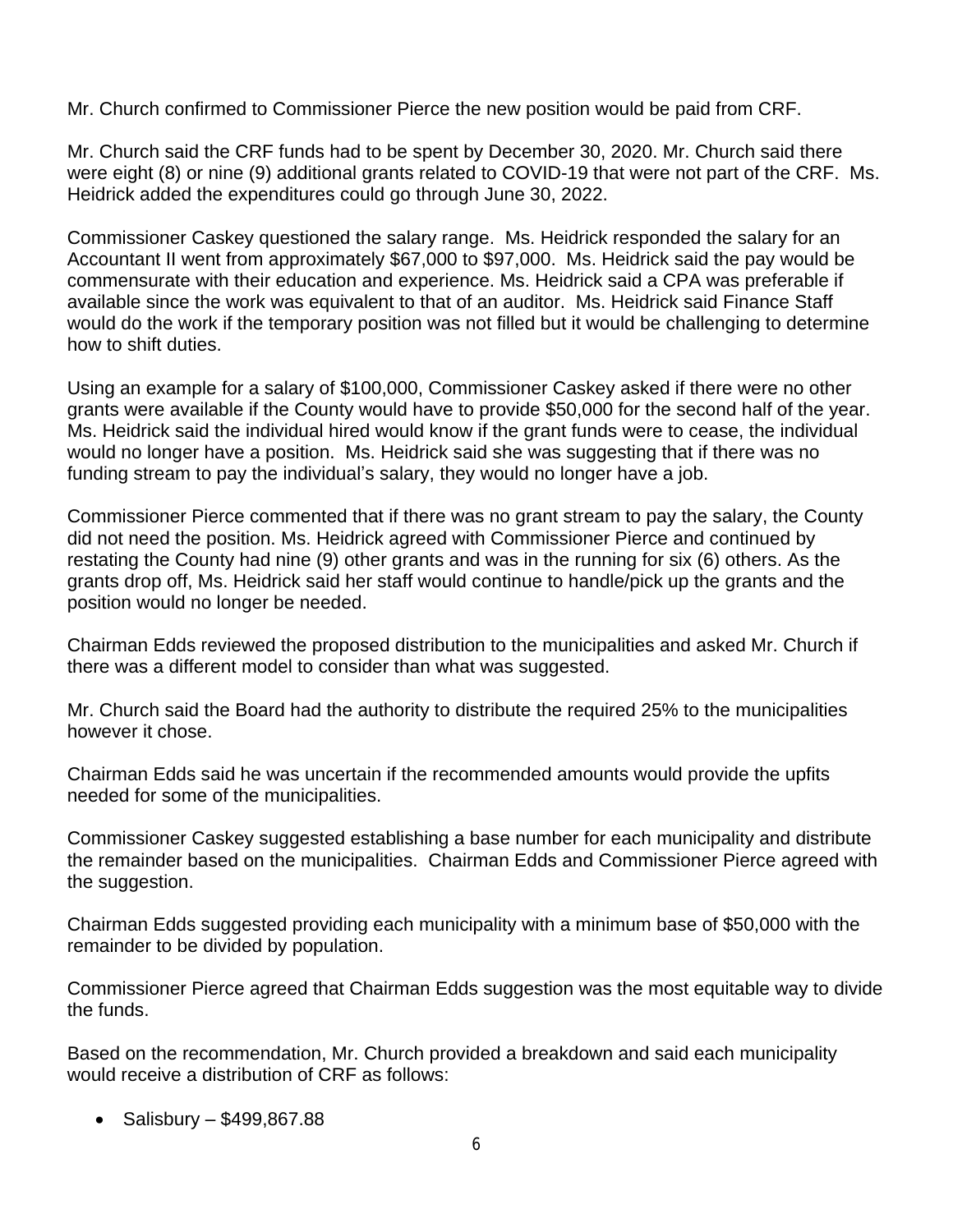Mr. Church confirmed to Commissioner Pierce the new position would be paid from CRF.

Mr. Church said the CRF funds had to be spent by December 30, 2020. Mr. Church said there were eight (8) or nine (9) additional grants related to COVID-19 that were not part of the CRF. Ms. Heidrick added the expenditures could go through June 30, 2022.

Commissioner Caskey questioned the salary range. Ms. Heidrick responded the salary for an Accountant II went from approximately \$67,000 to \$97,000. Ms. Heidrick said the pay would be commensurate with their education and experience. Ms. Heidrick said a CPA was preferable if available since the work was equivalent to that of an auditor. Ms. Heidrick said Finance Staff would do the work if the temporary position was not filled but it would be challenging to determine how to shift duties.

Using an example for a salary of \$100,000, Commissioner Caskey asked if there were no other grants were available if the County would have to provide \$50,000 for the second half of the year. Ms. Heidrick said the individual hired would know if the grant funds were to cease, the individual would no longer have a position. Ms. Heidrick said she was suggesting that if there was no funding stream to pay the individual's salary, they would no longer have a job.

Commissioner Pierce commented that if there was no grant stream to pay the salary, the County did not need the position. Ms. Heidrick agreed with Commissioner Pierce and continued by restating the County had nine (9) other grants and was in the running for six (6) others. As the grants drop off, Ms. Heidrick said her staff would continue to handle/pick up the grants and the position would no longer be needed.

Chairman Edds reviewed the proposed distribution to the municipalities and asked Mr. Church if there was a different model to consider than what was suggested.

Mr. Church said the Board had the authority to distribute the required 25% to the municipalities however it chose.

Chairman Edds said he was uncertain if the recommended amounts would provide the upfits needed for some of the municipalities.

Commissioner Caskey suggested establishing a base number for each municipality and distribute the remainder based on the municipalities. Chairman Edds and Commissioner Pierce agreed with the suggestion.

Chairman Edds suggested providing each municipality with a minimum base of \$50,000 with the remainder to be divided by population.

Commissioner Pierce agreed that Chairman Edds suggestion was the most equitable way to divide the funds.

Based on the recommendation, Mr. Church provided a breakdown and said each municipality would receive a distribution of CRF as follows:

• Salisbury –  $$499,867.88$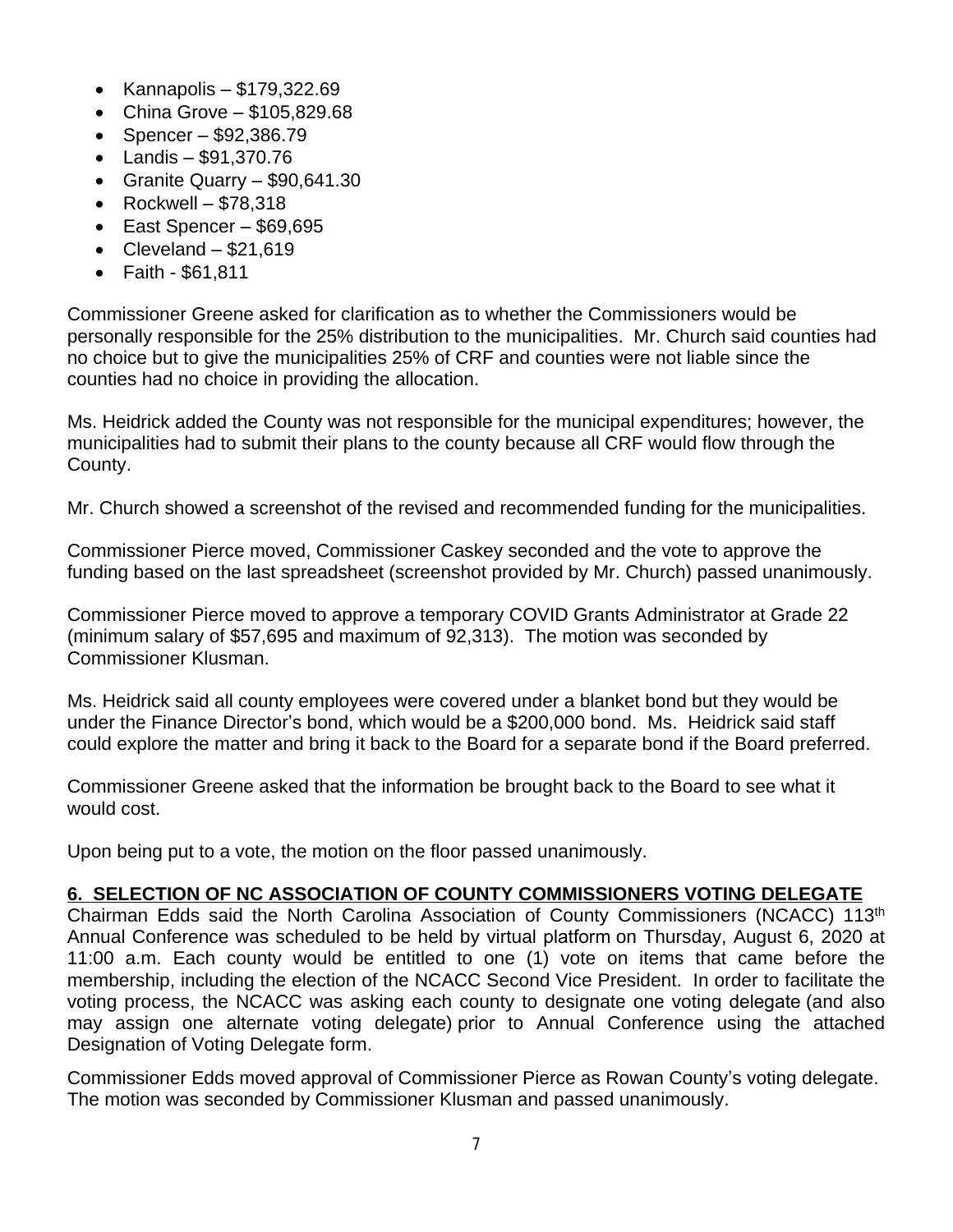- $\bullet$  Kannapolis \$179,322.69
- $\bullet$  China Grove \$105,829.68
- Spencer  $$92,386.79$
- Landis \$91,370.76
- Granite Quarry \$90,641.30
- Rockwell  $$78,318$
- $\bullet$  East Spencer \$69,695
- Cleveland  $-$  \$21,619
- Faith \$61,811

Commissioner Greene asked for clarification as to whether the Commissioners would be personally responsible for the 25% distribution to the municipalities. Mr. Church said counties had no choice but to give the municipalities 25% of CRF and counties were not liable since the counties had no choice in providing the allocation.

Ms. Heidrick added the County was not responsible for the municipal expenditures; however, the municipalities had to submit their plans to the county because all CRF would flow through the County.

Mr. Church showed a screenshot of the revised and recommended funding for the municipalities.

Commissioner Pierce moved, Commissioner Caskey seconded and the vote to approve the funding based on the last spreadsheet (screenshot provided by Mr. Church) passed unanimously.

Commissioner Pierce moved to approve a temporary COVID Grants Administrator at Grade 22 (minimum salary of \$57,695 and maximum of 92,313). The motion was seconded by Commissioner Klusman.

Ms. Heidrick said all county employees were covered under a blanket bond but they would be under the Finance Director's bond, which would be a \$200,000 bond. Ms. Heidrick said staff could explore the matter and bring it back to the Board for a separate bond if the Board preferred.

Commissioner Greene asked that the information be brought back to the Board to see what it would cost.

Upon being put to a vote, the motion on the floor passed unanimously.

## **6. SELECTION OF NC ASSOCIATION OF COUNTY COMMISSIONERS VOTING DELEGATE**

Chairman Edds said the North Carolina Association of County Commissioners (NCACC) 113th Annual Conference was scheduled to be held by virtual platform on Thursday, August 6, 2020 at 11:00 a.m. Each county would be entitled to one (1) vote on items that came before the membership, including the election of the NCACC Second Vice President. In order to facilitate the voting process, the NCACC was asking each county to designate one voting delegate (and also may assign one alternate voting delegate) prior to Annual Conference using the attached Designation of Voting Delegate form.

Commissioner Edds moved approval of Commissioner Pierce as Rowan County's voting delegate. The motion was seconded by Commissioner Klusman and passed unanimously.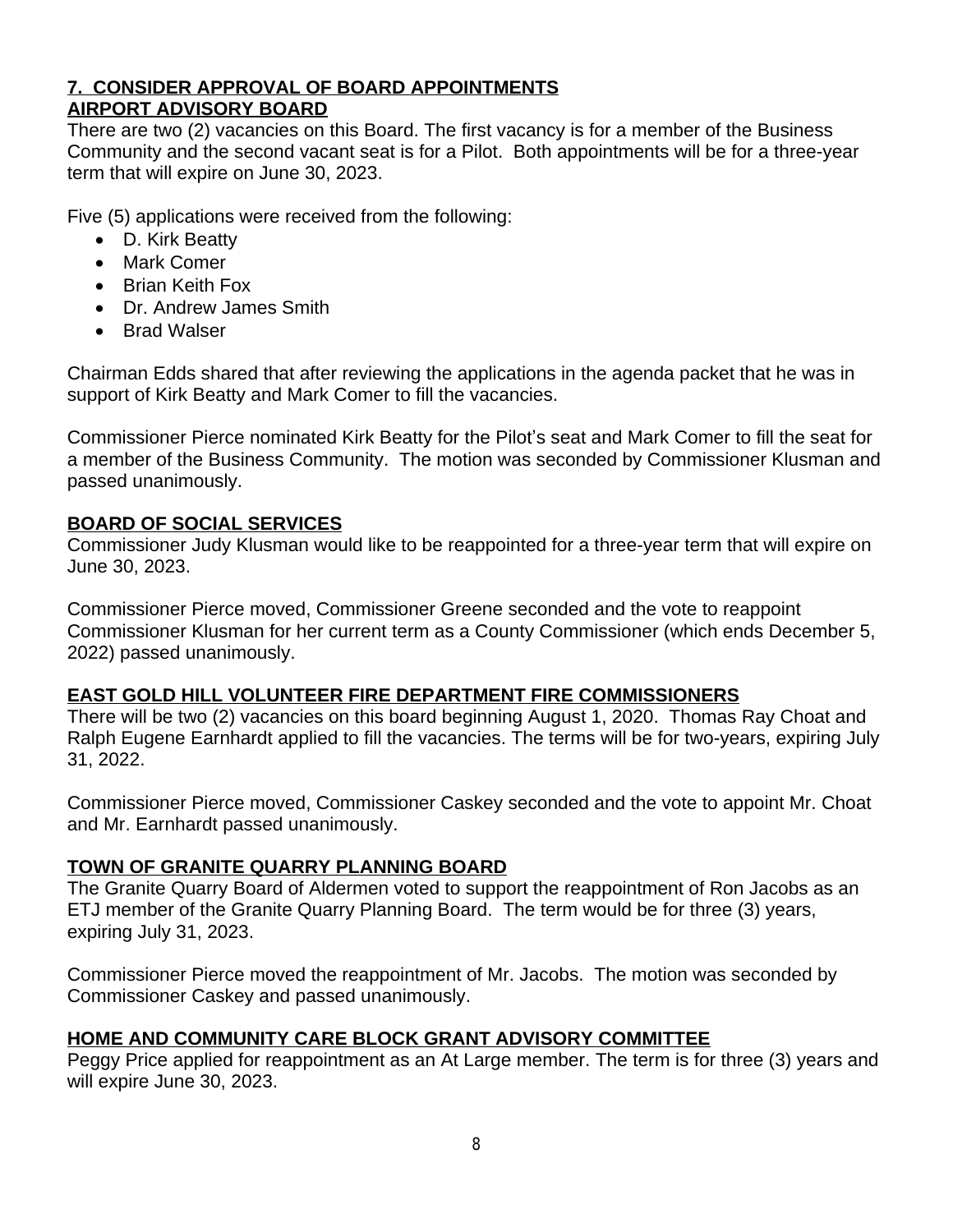## **7. CONSIDER APPROVAL OF BOARD APPOINTMENTS AIRPORT ADVISORY BOARD**

There are two (2) vacancies on this Board. The first vacancy is for a member of the Business Community and the second vacant seat is for a Pilot. Both appointments will be for a three-year term that will expire on June 30, 2023.

Five (5) applications were received from the following:

- D. Kirk Beatty
- Mark Comer
- Brian Keith Fox
- Dr. Andrew James Smith
- Brad Walser

Chairman Edds shared that after reviewing the applications in the agenda packet that he was in support of Kirk Beatty and Mark Comer to fill the vacancies.

Commissioner Pierce nominated Kirk Beatty for the Pilot's seat and Mark Comer to fill the seat for a member of the Business Community. The motion was seconded by Commissioner Klusman and passed unanimously.

# **BOARD OF SOCIAL SERVICES**

Commissioner Judy Klusman would like to be reappointed for a three-year term that will expire on June 30, 2023.

Commissioner Pierce moved, Commissioner Greene seconded and the vote to reappoint Commissioner Klusman for her current term as a County Commissioner (which ends December 5, 2022) passed unanimously.

## **EAST GOLD HILL VOLUNTEER FIRE DEPARTMENT FIRE COMMISSIONERS**

There will be two (2) vacancies on this board beginning August 1, 2020. Thomas Ray Choat and Ralph Eugene Earnhardt applied to fill the vacancies. The terms will be for two-years, expiring July 31, 2022.

Commissioner Pierce moved, Commissioner Caskey seconded and the vote to appoint Mr. Choat and Mr. Earnhardt passed unanimously.

## **TOWN OF GRANITE QUARRY PLANNING BOARD**

The Granite Quarry Board of Aldermen voted to support the reappointment of Ron Jacobs as an ETJ member of the Granite Quarry Planning Board. The term would be for three (3) years, expiring July 31, 2023.

Commissioner Pierce moved the reappointment of Mr. Jacobs. The motion was seconded by Commissioner Caskey and passed unanimously.

## **HOME AND COMMUNITY CARE BLOCK GRANT ADVISORY COMMITTEE**

Peggy Price applied for reappointment as an At Large member. The term is for three (3) years and will expire June 30, 2023.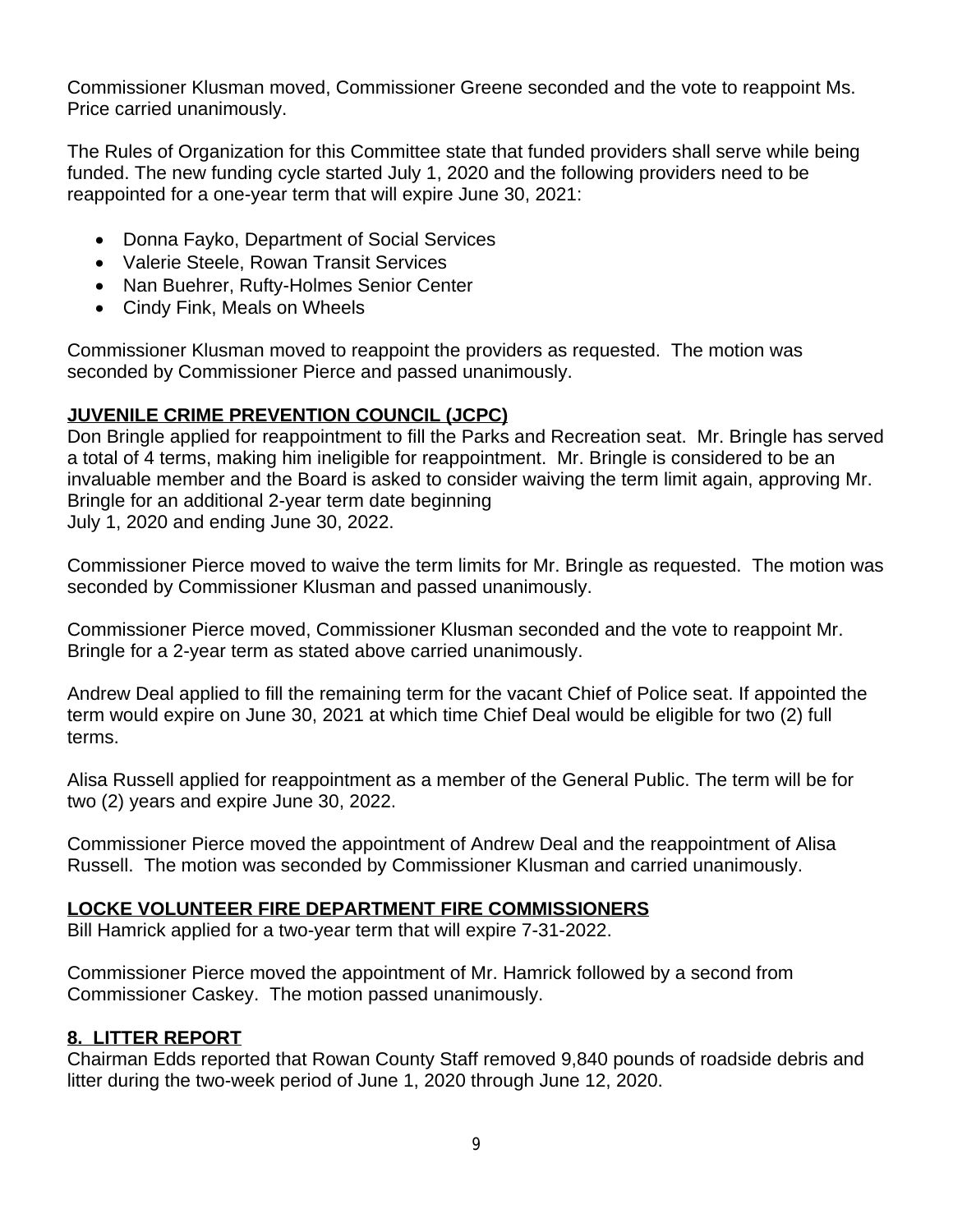Commissioner Klusman moved, Commissioner Greene seconded and the vote to reappoint Ms. Price carried unanimously.

The Rules of Organization for this Committee state that funded providers shall serve while being funded. The new funding cycle started July 1, 2020 and the following providers need to be reappointed for a one-year term that will expire June 30, 2021:

- Donna Fayko, Department of Social Services
- Valerie Steele, Rowan Transit Services
- Nan Buehrer, Rufty-Holmes Senior Center
- Cindy Fink, Meals on Wheels

Commissioner Klusman moved to reappoint the providers as requested. The motion was seconded by Commissioner Pierce and passed unanimously.

## **JUVENILE CRIME PREVENTION COUNCIL (JCPC)**

Don Bringle applied for reappointment to fill the Parks and Recreation seat. Mr. Bringle has served a total of 4 terms, making him ineligible for reappointment. Mr. Bringle is considered to be an invaluable member and the Board is asked to consider waiving the term limit again, approving Mr. Bringle for an additional 2-year term date beginning July 1, 2020 and ending June 30, 2022.

Commissioner Pierce moved to waive the term limits for Mr. Bringle as requested. The motion was seconded by Commissioner Klusman and passed unanimously.

Commissioner Pierce moved, Commissioner Klusman seconded and the vote to reappoint Mr. Bringle for a 2-year term as stated above carried unanimously.

Andrew Deal applied to fill the remaining term for the vacant Chief of Police seat. If appointed the term would expire on June 30, 2021 at which time Chief Deal would be eligible for two (2) full terms.

Alisa Russell applied for reappointment as a member of the General Public. The term will be for two (2) years and expire June 30, 2022.

Commissioner Pierce moved the appointment of Andrew Deal and the reappointment of Alisa Russell. The motion was seconded by Commissioner Klusman and carried unanimously.

## **LOCKE VOLUNTEER FIRE DEPARTMENT FIRE COMMISSIONERS**

Bill Hamrick applied for a two-year term that will expire 7-31-2022.

Commissioner Pierce moved the appointment of Mr. Hamrick followed by a second from Commissioner Caskey. The motion passed unanimously.

## **8. LITTER REPORT**

Chairman Edds reported that Rowan County Staff removed 9,840 pounds of roadside debris and litter during the two-week period of June 1, 2020 through June 12, 2020.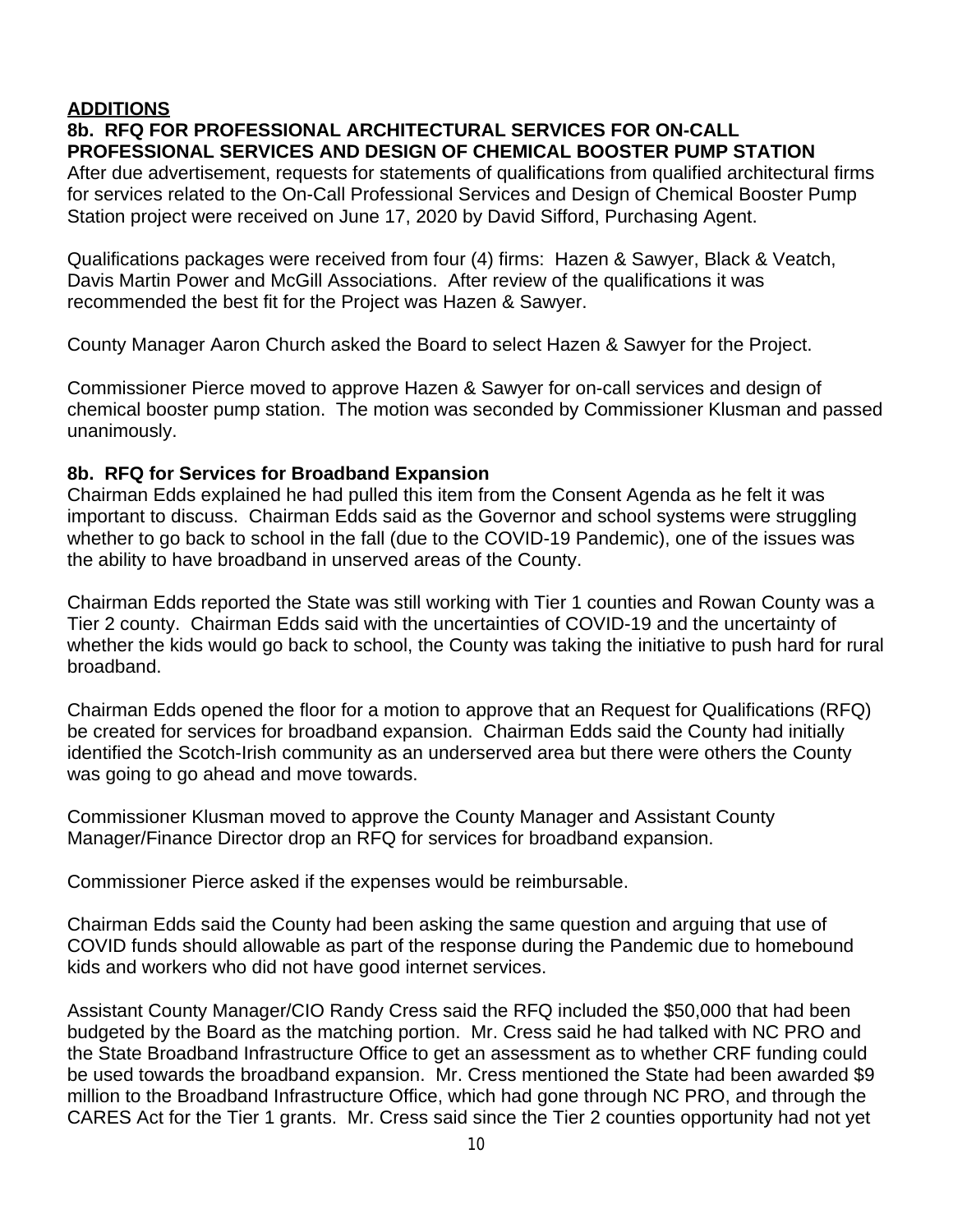### **ADDITIONS**

### **8b. RFQ FOR PROFESSIONAL ARCHITECTURAL SERVICES FOR ON-CALL PROFESSIONAL SERVICES AND DESIGN OF CHEMICAL BOOSTER PUMP STATION**

After due advertisement, requests for statements of qualifications from qualified architectural firms for services related to the On-Call Professional Services and Design of Chemical Booster Pump Station project were received on June 17, 2020 by David Sifford, Purchasing Agent.

Qualifications packages were received from four (4) firms: Hazen & Sawyer, Black & Veatch, Davis Martin Power and McGill Associations. After review of the qualifications it was recommended the best fit for the Project was Hazen & Sawyer.

County Manager Aaron Church asked the Board to select Hazen & Sawyer for the Project.

Commissioner Pierce moved to approve Hazen & Sawyer for on-call services and design of chemical booster pump station. The motion was seconded by Commissioner Klusman and passed unanimously.

#### **8b. RFQ for Services for Broadband Expansion**

Chairman Edds explained he had pulled this item from the Consent Agenda as he felt it was important to discuss. Chairman Edds said as the Governor and school systems were struggling whether to go back to school in the fall (due to the COVID-19 Pandemic), one of the issues was the ability to have broadband in unserved areas of the County.

Chairman Edds reported the State was still working with Tier 1 counties and Rowan County was a Tier 2 county. Chairman Edds said with the uncertainties of COVID-19 and the uncertainty of whether the kids would go back to school, the County was taking the initiative to push hard for rural broadband.

Chairman Edds opened the floor for a motion to approve that an Request for Qualifications (RFQ) be created for services for broadband expansion. Chairman Edds said the County had initially identified the Scotch-Irish community as an underserved area but there were others the County was going to go ahead and move towards.

Commissioner Klusman moved to approve the County Manager and Assistant County Manager/Finance Director drop an RFQ for services for broadband expansion.

Commissioner Pierce asked if the expenses would be reimbursable.

Chairman Edds said the County had been asking the same question and arguing that use of COVID funds should allowable as part of the response during the Pandemic due to homebound kids and workers who did not have good internet services.

Assistant County Manager/CIO Randy Cress said the RFQ included the \$50,000 that had been budgeted by the Board as the matching portion. Mr. Cress said he had talked with NC PRO and the State Broadband Infrastructure Office to get an assessment as to whether CRF funding could be used towards the broadband expansion. Mr. Cress mentioned the State had been awarded \$9 million to the Broadband Infrastructure Office, which had gone through NC PRO, and through the CARES Act for the Tier 1 grants. Mr. Cress said since the Tier 2 counties opportunity had not yet